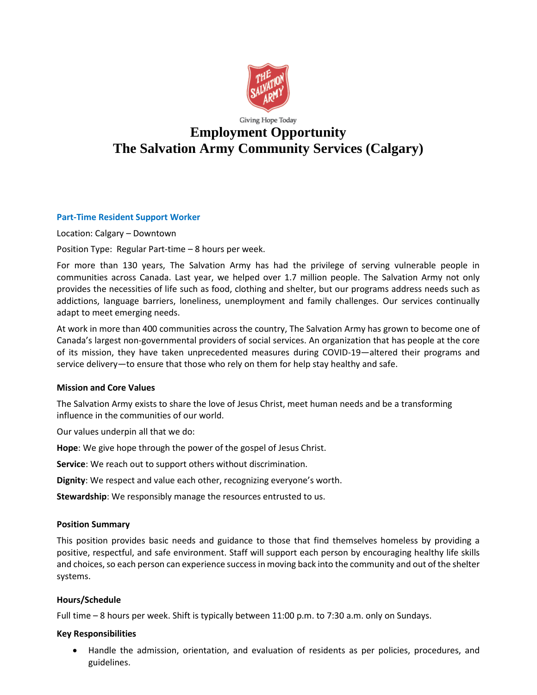

# Giving Hope Today **Employment Opportunity The Salvation Army Community Services (Calgary)**

### **Part-Time Resident Support Worker**

Location: Calgary – Downtown

Position Type: Regular Part-time – 8 hours per week.

For more than 130 years, The Salvation Army has had the privilege of serving vulnerable people in communities across Canada. Last year, we helped over 1.7 million people. The Salvation Army not only provides the necessities of life such as food, clothing and shelter, but our programs address needs such as addictions, language barriers, loneliness, unemployment and family challenges. Our services continually adapt to meet emerging needs.

At work in more than 400 communities across the country, The Salvation Army has grown to become one of Canada's largest non-governmental providers of social services. An organization that has people at the core of its mission, they have taken unprecedented measures during COVID-19—altered their programs and service delivery—to ensure that those who rely on them for help stay healthy and safe.

#### **Mission and Core Values**

The Salvation Army exists to share the love of Jesus Christ, meet human needs and be a transforming influence in the communities of our world.

Our values underpin all that we do:

**Hope**: We give hope through the power of the gospel of Jesus Christ.

**Service**: We reach out to support others without discrimination.

**Dignity**: We respect and value each other, recognizing everyone's worth.

**Stewardship**: We responsibly manage the resources entrusted to us.

#### **Position Summary**

This position provides basic needs and guidance to those that find themselves homeless by providing a positive, respectful, and safe environment. Staff will support each person by encouraging healthy life skills and choices, so each person can experience success in moving back into the community and out of the shelter systems.

#### **Hours/Schedule**

Full time – 8 hours per week. Shift is typically between 11:00 p.m. to 7:30 a.m. only on Sundays.

#### **Key Responsibilities**

• Handle the admission, orientation, and evaluation of residents as per policies, procedures, and guidelines.